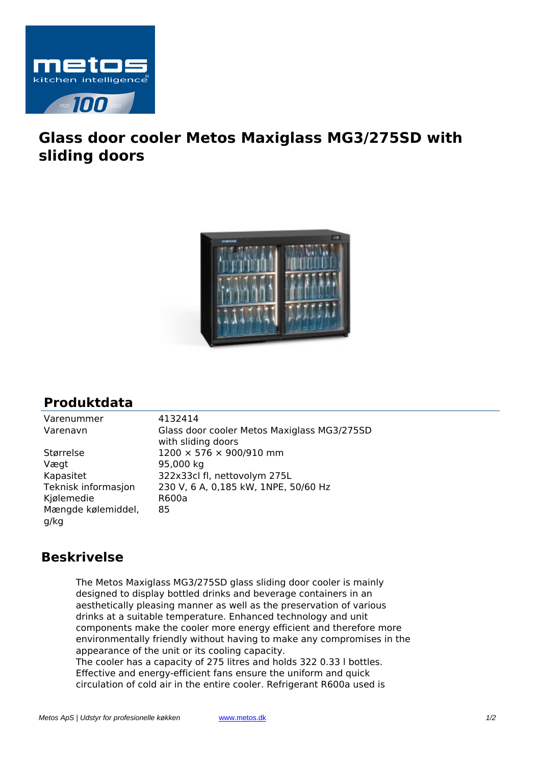

## **Glass door cooler Metos Maxiglass MG3/275SD with sliding doors**



## **Produktdata**

| Glass   |
|---------|
| with sl |
| 1200:   |
| 95,000  |
| 322x3   |
| 230 V,  |
| R600a   |
| 85      |
|         |
|         |

Varenummer 4132414 s door cooler Metos Maxiglass MG3/275SD sliding doors  $\times$  576  $\times$  900/910 mm 00 kg 33cl fl, nettovolym 275L V, 6 A, 0,185 kW, 1NPE, 50/60 Hz

## **Beskrivelse**

The Metos Maxiglass MG3/275SD glass sliding door cooler is mainly designed to display bottled drinks and beverage containers in an aesthetically pleasing manner as well as the preservation of various drinks at a suitable temperature. Enhanced technology and unit components make the cooler more energy efficient and therefore more environmentally friendly without having to make any compromises in the appearance of the unit or its cooling capacity. The cooler has a capacity of 275 litres and holds 322 0.33 l bottles. Effective and energy-efficient fans ensure the uniform and quick circulation of cold air in the entire cooler. Refrigerant R600a used is